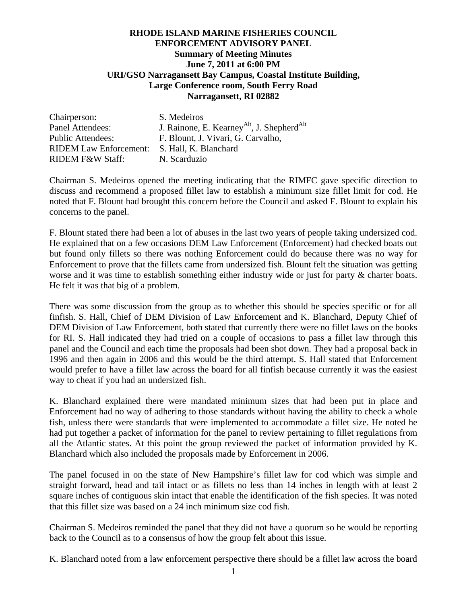## **RHODE ISLAND MARINE FISHERIES COUNCIL ENFORCEMENT ADVISORY PANEL Summary of Meeting Minutes June 7, 2011 at 6:00 PM URI/GSO Narragansett Bay Campus, Coastal Institute Building, Large Conference room, South Ferry Road Narragansett, RI 02882**

| Chairperson:                  | S. Medeiros                                                        |
|-------------------------------|--------------------------------------------------------------------|
| Panel Attendees:              | J. Rainone, E. Kearney <sup>Alt</sup> , J. Shepherd <sup>Alt</sup> |
| <b>Public Attendees:</b>      | F. Blount, J. Vivari, G. Carvalho,                                 |
| <b>RIDEM Law Enforcement:</b> | S. Hall, K. Blanchard                                              |
| <b>RIDEM F&amp;W Staff:</b>   | N. Scarduzio                                                       |

Chairman S. Medeiros opened the meeting indicating that the RIMFC gave specific direction to discuss and recommend a proposed fillet law to establish a minimum size fillet limit for cod. He noted that F. Blount had brought this concern before the Council and asked F. Blount to explain his concerns to the panel.

F. Blount stated there had been a lot of abuses in the last two years of people taking undersized cod. He explained that on a few occasions DEM Law Enforcement (Enforcement) had checked boats out but found only fillets so there was nothing Enforcement could do because there was no way for Enforcement to prove that the fillets came from undersized fish. Blount felt the situation was getting worse and it was time to establish something either industry wide or just for party & charter boats. He felt it was that big of a problem.

There was some discussion from the group as to whether this should be species specific or for all finfish. S. Hall, Chief of DEM Division of Law Enforcement and K. Blanchard, Deputy Chief of DEM Division of Law Enforcement, both stated that currently there were no fillet laws on the books for RI. S. Hall indicated they had tried on a couple of occasions to pass a fillet law through this panel and the Council and each time the proposals had been shot down. They had a proposal back in 1996 and then again in 2006 and this would be the third attempt. S. Hall stated that Enforcement would prefer to have a fillet law across the board for all finfish because currently it was the easiest way to cheat if you had an undersized fish.

K. Blanchard explained there were mandated minimum sizes that had been put in place and Enforcement had no way of adhering to those standards without having the ability to check a whole fish, unless there were standards that were implemented to accommodate a fillet size. He noted he had put together a packet of information for the panel to review pertaining to fillet regulations from all the Atlantic states. At this point the group reviewed the packet of information provided by K. Blanchard which also included the proposals made by Enforcement in 2006.

The panel focused in on the state of New Hampshire's fillet law for cod which was simple and straight forward, head and tail intact or as fillets no less than 14 inches in length with at least 2 square inches of contiguous skin intact that enable the identification of the fish species. It was noted that this fillet size was based on a 24 inch minimum size cod fish.

Chairman S. Medeiros reminded the panel that they did not have a quorum so he would be reporting back to the Council as to a consensus of how the group felt about this issue.

K. Blanchard noted from a law enforcement perspective there should be a fillet law across the board